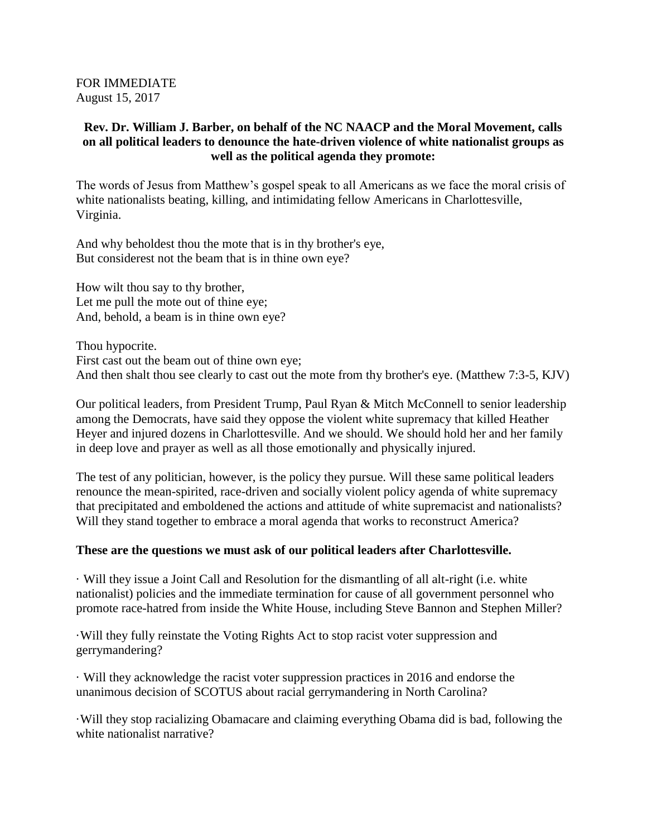FOR IMMEDIATE August 15, 2017

## **Rev. Dr. William J. Barber, on behalf of the NC NAACP and the Moral Movement, calls on all political leaders to denounce the hate-driven violence of white nationalist groups as well as the political agenda they promote:**

The words of Jesus from Matthew's gospel speak to all Americans as we face the moral crisis of white nationalists beating, killing, and intimidating fellow Americans in Charlottesville, Virginia.

And why beholdest thou the mote that is in thy brother's eye, But considerest not the beam that is in thine own eye?

How wilt thou say to thy brother, Let me pull the mote out of thine eye; And, behold, a beam is in thine own eye?

Thou hypocrite. First cast out the beam out of thine own eye; And then shalt thou see clearly to cast out the mote from thy brother's eye. (Matthew 7:3-5, KJV)

Our political leaders, from President Trump, Paul Ryan & Mitch McConnell to senior leadership among the Democrats, have said they oppose the violent white supremacy that killed Heather Heyer and injured dozens in Charlottesville. And we should. We should hold her and her family in deep love and prayer as well as all those emotionally and physically injured.

The test of any politician, however, is the policy they pursue. Will these same political leaders renounce the mean-spirited, race-driven and socially violent policy agenda of white supremacy that precipitated and emboldened the actions and attitude of white supremacist and nationalists? Will they stand together to embrace a moral agenda that works to reconstruct America?

## **These are the questions we must ask of our political leaders after Charlottesville.**

· Will they issue a Joint Call and Resolution for the dismantling of all alt-right (i.e. white nationalist) policies and the immediate termination for cause of all government personnel who promote race-hatred from inside the White House, including Steve Bannon and Stephen Miller?

·Will they fully reinstate the Voting Rights Act to stop racist voter suppression and gerrymandering?

· Will they acknowledge the racist voter suppression practices in 2016 and endorse the unanimous decision of SCOTUS about racial gerrymandering in North Carolina?

·Will they stop racializing Obamacare and claiming everything Obama did is bad, following the white nationalist narrative?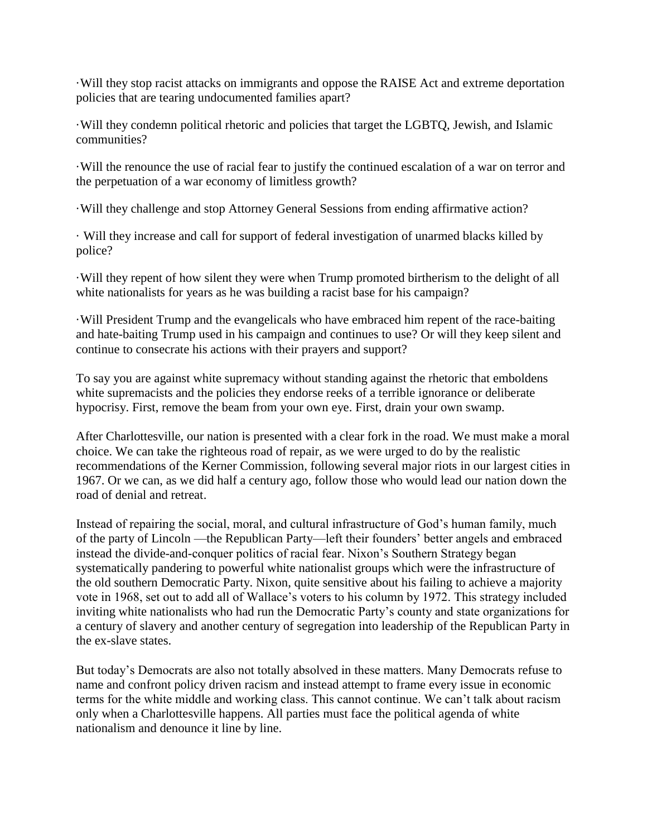·Will they stop racist attacks on immigrants and oppose the RAISE Act and extreme deportation policies that are tearing undocumented families apart?

·Will they condemn political rhetoric and policies that target the LGBTQ, Jewish, and Islamic communities?

·Will the renounce the use of racial fear to justify the continued escalation of a war on terror and the perpetuation of a war economy of limitless growth?

·Will they challenge and stop Attorney General Sessions from ending affirmative action?

· Will they increase and call for support of federal investigation of unarmed blacks killed by police?

·Will they repent of how silent they were when Trump promoted birtherism to the delight of all white nationalists for years as he was building a racist base for his campaign?

·Will President Trump and the evangelicals who have embraced him repent of the race-baiting and hate-baiting Trump used in his campaign and continues to use? Or will they keep silent and continue to consecrate his actions with their prayers and support?

To say you are against white supremacy without standing against the rhetoric that emboldens white supremacists and the policies they endorse reeks of a terrible ignorance or deliberate hypocrisy. First, remove the beam from your own eye. First, drain your own swamp.

After Charlottesville, our nation is presented with a clear fork in the road. We must make a moral choice. We can take the righteous road of repair, as we were urged to do by the realistic recommendations of the Kerner Commission, following several major riots in our largest cities in 1967. Or we can, as we did half a century ago, follow those who would lead our nation down the road of denial and retreat.

Instead of repairing the social, moral, and cultural infrastructure of God's human family, much of the party of Lincoln —the Republican Party—left their founders' better angels and embraced instead the divide-and-conquer politics of racial fear. Nixon's Southern Strategy began systematically pandering to powerful white nationalist groups which were the infrastructure of the old southern Democratic Party. Nixon, quite sensitive about his failing to achieve a majority vote in 1968, set out to add all of Wallace's voters to his column by 1972. This strategy included inviting white nationalists who had run the Democratic Party's county and state organizations for a century of slavery and another century of segregation into leadership of the Republican Party in the ex-slave states.

But today's Democrats are also not totally absolved in these matters. Many Democrats refuse to name and confront policy driven racism and instead attempt to frame every issue in economic terms for the white middle and working class. This cannot continue. We can't talk about racism only when a Charlottesville happens. All parties must face the political agenda of white nationalism and denounce it line by line.